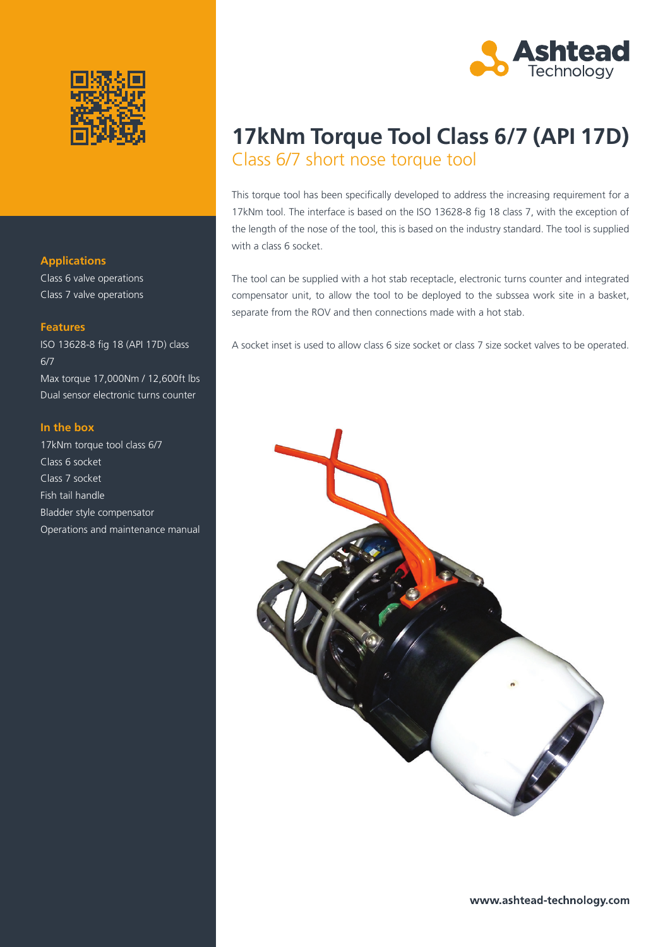

#### **Applications**

Class 6 valve operations Class 7 valve operations

#### **Features**

ISO 13628-8 fig 18 (API 17D) class 6/7 Max torque 17,000Nm / 12,600ft lbs Dual sensor electronic turns counter

### **In the box**

17kNm torque tool class 6/7 Class 6 socket Class 7 socket Fish tail handle Bladder style compensator Operations and maintenance manual



### **17kNm Torque Tool Class 6/7 (API 17D)** Class 6/7 short nose torque tool

This torque tool has been specifically developed to address the increasing requirement for a 17kNm tool. The interface is based on the ISO 13628-8 fig 18 class 7, with the exception of the length of the nose of the tool, this is based on the industry standard. The tool is supplied with a class 6 socket.

The tool can be supplied with a hot stab receptacle, electronic turns counter and integrated compensator unit, to allow the tool to be deployed to the subssea work site in a basket, separate from the ROV and then connections made with a hot stab.

A socket inset is used to allow class 6 size socket or class 7 size socket valves to be operated.